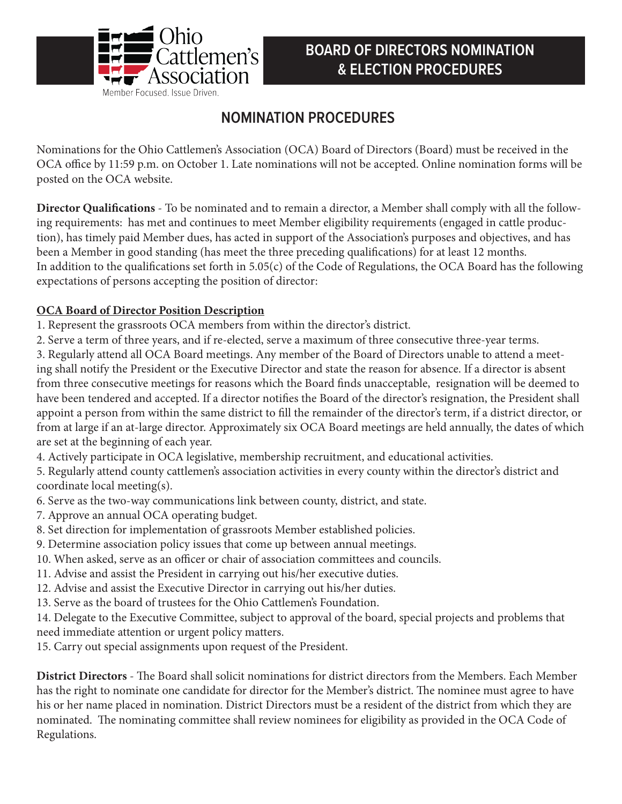

## **BOARD OF DIRECTORS NOMINATION & ELECTION PROCEDURES**

# **NOMINATION PROCEDURES**

Nominations for the Ohio Cattlemen's Association (OCA) Board of Directors (Board) must be received in the OCA office by 11:59 p.m. on October 1. Late nominations will not be accepted. Online nomination forms will be posted on the OCA website.

**Director Qualifications** - To be nominated and to remain a director, a Member shall comply with all the following requirements: has met and continues to meet Member eligibility requirements (engaged in cattle production), has timely paid Member dues, has acted in support of the Association's purposes and objectives, and has been a Member in good standing (has meet the three preceding qualifications) for at least 12 months. In addition to the qualifications set forth in 5.05(c) of the Code of Regulations, the OCA Board has the following expectations of persons accepting the position of director:

### **OCA Board of Director Position Description**

- 1. Represent the grassroots OCA members from within the director's district.
- 2. Serve a term of three years, and if re-elected, serve a maximum of three consecutive three-year terms.
- 3. Regularly attend all OCA Board meetings. Any member of the Board of Directors unable to attend a meeting shall notify the President or the Executive Director and state the reason for absence. If a director is absent from three consecutive meetings for reasons which the Board finds unacceptable, resignation will be deemed to have been tendered and accepted. If a director notifies the Board of the director's resignation, the President shall appoint a person from within the same district to fill the remainder of the director's term, if a district director, or from at large if an at-large director. Approximately six OCA Board meetings are held annually, the dates of which are set at the beginning of each year.
- 4. Actively participate in OCA legislative, membership recruitment, and educational activities.
- 5. Regularly attend county cattlemen's association activities in every county within the director's district and coordinate local meeting(s).
- 6. Serve as the two-way communications link between county, district, and state.
- 7. Approve an annual OCA operating budget.
- 8. Set direction for implementation of grassroots Member established policies.
- 9. Determine association policy issues that come up between annual meetings.
- 10. When asked, serve as an officer or chair of association committees and councils.
- 11. Advise and assist the President in carrying out his/her executive duties.
- 12. Advise and assist the Executive Director in carrying out his/her duties.
- 13. Serve as the board of trustees for the Ohio Cattlemen's Foundation.
- 14. Delegate to the Executive Committee, subject to approval of the board, special projects and problems that need immediate attention or urgent policy matters.
- 15. Carry out special assignments upon request of the President.

**District Directors** - The Board shall solicit nominations for district directors from the Members. Each Member has the right to nominate one candidate for director for the Member's district. The nominee must agree to have his or her name placed in nomination. District Directors must be a resident of the district from which they are nominated. The nominating committee shall review nominees for eligibility as provided in the OCA Code of Regulations.